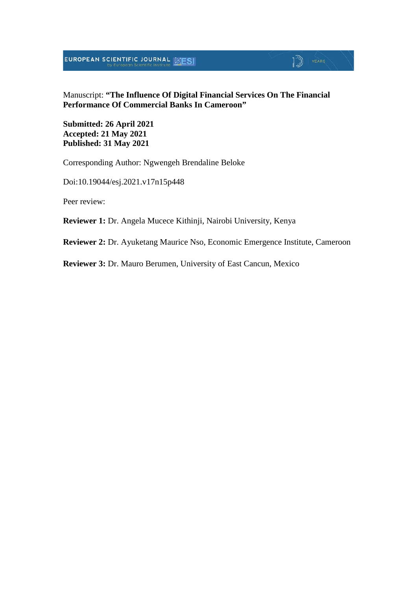**EUROPEAN SCIENTIFIC JOURNAL SESI** 

#### Manuscript: **"The Influence Of Digital Financial Services On The Financial Performance Of Commercial Banks In Cameroon"**

 $\mathbb{D}$  YEARS

**Submitted: 26 April 2021 Accepted: 21 May 2021 Published: 31 May 2021**

Corresponding Author: Ngwengeh Brendaline Beloke

Doi:10.19044/esj.2021.v17n15p448

Peer review:

**Reviewer 1:** Dr. Angela Mucece Kithinji, Nairobi University, Kenya

**Reviewer 2:** Dr. Ayuketang Maurice Nso, Economic Emergence Institute, Cameroon

**Reviewer 3:** Dr. Mauro Berumen, University of East Cancun, Mexico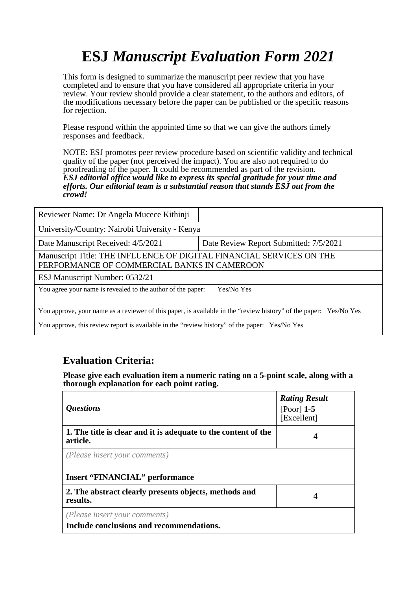# **ESJ** *Manuscript Evaluation Form 2021*

This form is designed to summarize the manuscript peer review that you have completed and to ensure that you have considered all appropriate criteria in your review. Your review should provide a clear statement, to the authors and editors, of the modifications necessary before the paper can be published or the specific reasons for rejection.

Please respond within the appointed time so that we can give the authors timely responses and feedback.

NOTE: ESJ promotes peer review procedure based on scientific validity and technical quality of the paper (not perceived the impact). You are also not required to do proofreading of the paper. It could be recommended as part of the revision. *ESJ editorial office would like to express its special gratitude for your time and efforts. Our editorial team is a substantial reason that stands ESJ out from the crowd!* 

| Reviewer Name: Dr Angela Mucece Kithinji                                                                            |                                        |  |
|---------------------------------------------------------------------------------------------------------------------|----------------------------------------|--|
| University/Country: Nairobi University - Kenya                                                                      |                                        |  |
| Date Manuscript Received: 4/5/2021                                                                                  | Date Review Report Submitted: 7/5/2021 |  |
| Manuscript Title: THE INFLUENCE OF DIGITAL FINANCIAL SERVICES ON THE<br>PERFORMANCE OF COMMERCIAL BANKS IN CAMEROON |                                        |  |
| ESJ Manuscript Number: 0532/21                                                                                      |                                        |  |
| You agree your name is revealed to the author of the paper:                                                         | Yes/No Yes                             |  |
| You approve, your name as a reviewer of this paper, is available in the "review history" of the paper: Yes/No Yes   |                                        |  |

You approve, this review report is available in the "review history" of the paper: Yes/No Yes

### **Evaluation Criteria:**

**Please give each evaluation item a numeric rating on a 5-point scale, along with a thorough explanation for each point rating.**

| <i><b>Questions</b></i>                                                    | <b>Rating Result</b><br>$[Poor]$ 1-5<br>[Excellent] |
|----------------------------------------------------------------------------|-----------------------------------------------------|
| 1. The title is clear and it is adequate to the content of the<br>article. |                                                     |
| (Please insert your comments)<br><b>Insert "FINANCIAL" performance</b>     |                                                     |
| 2. The abstract clearly presents objects, methods and<br>results.          | 4                                                   |
| (Please insert your comments)<br>Include conclusions and recommendations.  |                                                     |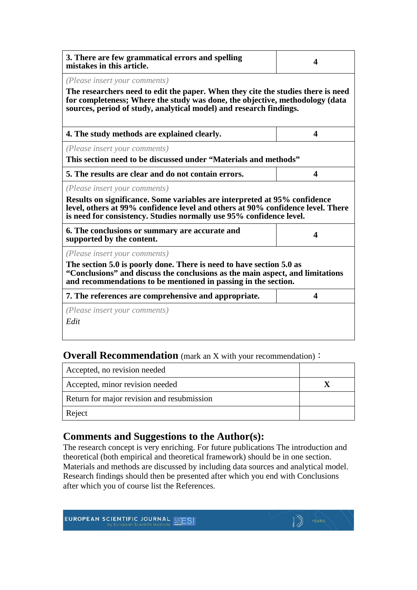| 3. There are few grammatical errors and spelling<br>mistakes in this article.                                                                                                                                                                                           | 4                       |  |
|-------------------------------------------------------------------------------------------------------------------------------------------------------------------------------------------------------------------------------------------------------------------------|-------------------------|--|
| (Please insert your comments)<br>The researchers need to edit the paper. When they cite the studies there is need<br>for completeness; Where the study was done, the objective, methodology (data<br>sources, period of study, analytical model) and research findings. |                         |  |
| 4. The study methods are explained clearly.                                                                                                                                                                                                                             | $\overline{\mathbf{4}}$ |  |
| (Please insert your comments)<br>This section need to be discussed under "Materials and methods"                                                                                                                                                                        |                         |  |
| 5. The results are clear and do not contain errors.                                                                                                                                                                                                                     | 4                       |  |
| (Please insert your comments)<br>Results on significance. Some variables are interpreted at 95% confidence<br>level, others at 99% confidence level and others at 90% confidence level. There<br>is need for consistency. Studies normally use 95% confidence level.    |                         |  |
| 6. The conclusions or summary are accurate and<br>supported by the content.                                                                                                                                                                                             | $\boldsymbol{\Lambda}$  |  |
| (Please insert your comments)<br>The section 5.0 is poorly done. There is need to have section 5.0 as<br>"Conclusions" and discuss the conclusions as the main aspect, and limitations<br>and recommendations to be mentioned in passing in the section.                |                         |  |
| 7. The references are comprehensive and appropriate.                                                                                                                                                                                                                    | $\overline{\mathbf{4}}$ |  |
| ( <i>Please insert your comments</i> )<br>Edit                                                                                                                                                                                                                          |                         |  |

#### **Overall Recommendation** (mark an X with your recommendation):

| Accepted, no revision needed               |  |
|--------------------------------------------|--|
| Accepted, minor revision needed            |  |
| Return for major revision and resubmission |  |
| Reject                                     |  |

## **Comments and Suggestions to the Author(s):**

The research concept is very enriching. For future publications The introduction and theoretical (both empirical and theoretical framework) should be in one section. Materials and methods are discussed by including data sources and analytical model. Research findings should then be presented after which you end with Conclusions after which you of course list the References.

<sup>YEARS</sup>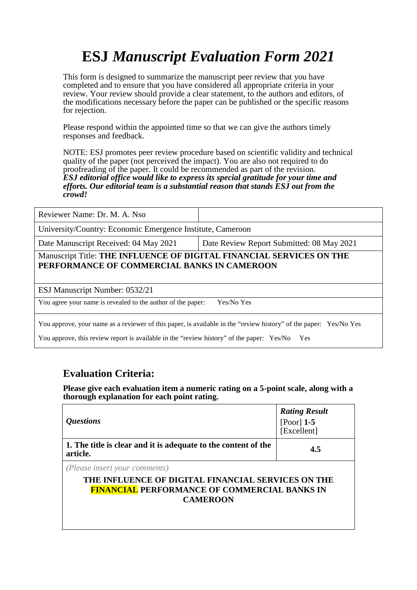# **ESJ** *Manuscript Evaluation Form 2021*

This form is designed to summarize the manuscript peer review that you have completed and to ensure that you have considered all appropriate criteria in your review. Your review should provide a clear statement, to the authors and editors, of the modifications necessary before the paper can be published or the specific reasons for rejection.

Please respond within the appointed time so that we can give the authors timely responses and feedback.

NOTE: ESJ promotes peer review procedure based on scientific validity and technical quality of the paper (not perceived the impact). You are also not required to do proofreading of the paper. It could be recommended as part of the revision. *ESJ editorial office would like to express its special gratitude for your time and efforts. Our editorial team is a substantial reason that stands ESJ out from the crowd!* 

University/Country: Economic Emergence Institute, Cameroon

Date Manuscript Received: 04 May 2021 Date Review Report Submitted: 08 May 2021

Manuscript Title: **THE INFLUENCE OF DIGITAL FINANCIAL SERVICES ON THE PERFORMANCE OF COMMERCIAL BANKS IN CAMEROON**

ESJ Manuscript Number: 0532/21

You agree your name is revealed to the author of the paper: Yes/No Yes

You approve, your name as a reviewer of this paper, is available in the "review history" of the paper: Yes/No Yes

You approve, this review report is available in the "review history" of the paper: Yes/No Yes

### **Evaluation Criteria:**

**Please give each evaluation item a numeric rating on a 5-point scale, along with a thorough explanation for each point rating.**

| <i><b>Questions</b></i>                                                                                                                                       | <b>Rating Result</b><br>[Poor] $1-5$<br>[Excellent] |
|---------------------------------------------------------------------------------------------------------------------------------------------------------------|-----------------------------------------------------|
| 1. The title is clear and it is adequate to the content of the<br>article.                                                                                    | 4.5                                                 |
| (Please insert your comments)<br>THE INFLUENCE OF DIGITAL FINANCIAL SERVICES ON THE<br><b>FINANCIAL PERFORMANCE OF COMMERCIAL BANKS IN</b><br><b>CAMEROON</b> |                                                     |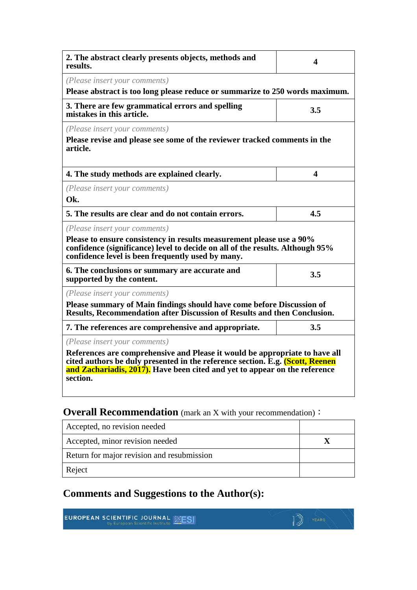| 2. The abstract clearly presents objects, methods and<br>results.                                                                                                                                                                                                                       | 4   |  |
|-----------------------------------------------------------------------------------------------------------------------------------------------------------------------------------------------------------------------------------------------------------------------------------------|-----|--|
| (Please insert your comments)<br>Please abstract is too long please reduce or summarize to 250 words maximum.                                                                                                                                                                           |     |  |
| 3. There are few grammatical errors and spelling<br>mistakes in this article.                                                                                                                                                                                                           | 3.5 |  |
| (Please insert your comments)<br>Please revise and please see some of the reviewer tracked comments in the<br>article.                                                                                                                                                                  |     |  |
| 4. The study methods are explained clearly.                                                                                                                                                                                                                                             | 4   |  |
| (Please insert your comments)<br>Ok.                                                                                                                                                                                                                                                    |     |  |
| 5. The results are clear and do not contain errors.                                                                                                                                                                                                                                     | 4.5 |  |
| (Please insert your comments)<br>Please to ensure consistency in results measurement please use a 90%<br>confidence (significance) level to decide on all of the results. Although 95%<br>confidence level is been frequently used by many.                                             |     |  |
| 6. The conclusions or summary are accurate and<br>supported by the content.                                                                                                                                                                                                             | 3.5 |  |
| (Please insert your comments)<br>Please summary of Main findings should have come before Discussion of<br><b>Results, Recommendation after Discussion of Results and then Conclusion.</b>                                                                                               |     |  |
| 7. The references are comprehensive and appropriate.                                                                                                                                                                                                                                    | 3.5 |  |
| (Please insert your comments)<br>References are comprehensive and Please it would be appropriate to have all<br>cited authors be duly presented in the reference section. E.g. (Scott, Reenen<br>and Zachariadis, 2017). Have been cited and yet to appear on the reference<br>section. |     |  |

## **Overall Recommendation** (mark an X with your recommendation):

| Accepted, no revision needed               |  |
|--------------------------------------------|--|
| Accepted, minor revision needed            |  |
| Return for major revision and resubmission |  |
| Reject                                     |  |

## **Comments and Suggestions to the Author(s):**

| <b>EUROPEAN SCIENTIFIC JOURNAL MESI</b> |  |
|-----------------------------------------|--|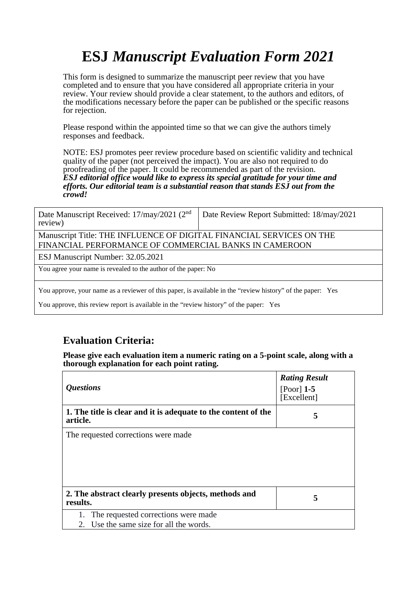# **ESJ** *Manuscript Evaluation Form 2021*

This form is designed to summarize the manuscript peer review that you have completed and to ensure that you have considered all appropriate criteria in your review. Your review should provide a clear statement, to the authors and editors, of the modifications necessary before the paper can be published or the specific reasons for rejection.

Please respond within the appointed time so that we can give the authors timely responses and feedback.

NOTE: ESJ promotes peer review procedure based on scientific validity and technical quality of the paper (not perceived the impact). You are also not required to do proofreading of the paper. It could be recommended as part of the revision. *ESJ editorial office would like to express its special gratitude for your time and efforts. Our editorial team is a substantial reason that stands ESJ out from the crowd!* 

| Date Manuscript Received: 17/may/2021 ( $2nd$   Date Review Report Submitted: 18/may/2021<br>review) |  |
|------------------------------------------------------------------------------------------------------|--|
| Monuscript Title: THE INEI HENCE OF DICITAL FINANCIAL CEDVICES ON THE                                |  |

Manuscript Title: THE INFLUENCE OF DIGITAL FINANCIAL SERVICES ON THE FINANCIAL PERFORMANCE OF COMMERCIAL BANKS IN CAMEROON

ESJ Manuscript Number: 32.05.2021

You agree your name is revealed to the author of the paper: No

You approve, your name as a reviewer of this paper, is available in the "review history" of the paper: Yes

You approve, this review report is available in the "review history" of the paper: Yes

## **Evaluation Criteria:**

**Please give each evaluation item a numeric rating on a 5-point scale, along with a thorough explanation for each point rating.**

| <i><b>Questions</b></i>                                                    | <b>Rating Result</b><br>$[Poor]$ 1-5<br>[Excellent] |
|----------------------------------------------------------------------------|-----------------------------------------------------|
| 1. The title is clear and it is adequate to the content of the<br>article. | 5                                                   |
| The requested corrections were made.                                       |                                                     |
|                                                                            |                                                     |
| 2. The abstract clearly presents objects, methods and<br>results.          | 5                                                   |
| 1. The requested corrections were made                                     |                                                     |
| 2. Use the same size for all the words.                                    |                                                     |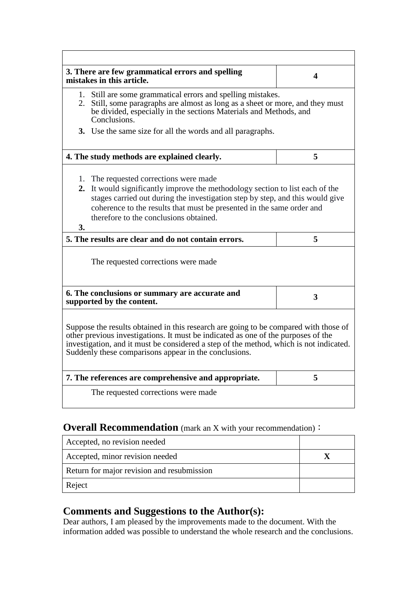|    | 3. There are few grammatical errors and spelling<br>mistakes in this article.                                                                                                                                                                                                                                                | $\overline{\mathbf{4}}$ |
|----|------------------------------------------------------------------------------------------------------------------------------------------------------------------------------------------------------------------------------------------------------------------------------------------------------------------------------|-------------------------|
|    | 1. Still are some grammatical errors and spelling mistakes.<br>2. Still, some paragraphs are almost as long as a sheet or more, and they must<br>be divided, especially in the sections Materials and Methods, and<br>Conclusions.                                                                                           |                         |
|    | 3. Use the same size for all the words and all paragraphs.                                                                                                                                                                                                                                                                   |                         |
|    | 4. The study methods are explained clearly.                                                                                                                                                                                                                                                                                  | 5                       |
| 3. | 1. The requested corrections were made<br>2. It would significantly improve the methodology section to list each of the<br>stages carried out during the investigation step by step, and this would give<br>coherence to the results that must be presented in the same order and<br>therefore to the conclusions obtained.  |                         |
|    | 5. The results are clear and do not contain errors.                                                                                                                                                                                                                                                                          | 5                       |
|    | The requested corrections were made                                                                                                                                                                                                                                                                                          |                         |
|    | 6. The conclusions or summary are accurate and<br>supported by the content.                                                                                                                                                                                                                                                  | $\overline{\mathbf{3}}$ |
|    | Suppose the results obtained in this research are going to be compared with those of<br>other previous investigations. It must be indicated as one of the purposes of the<br>investigation, and it must be considered a step of the method, which is not indicated.<br>Suddenly these comparisons appear in the conclusions. |                         |
|    | 7. The references are comprehensive and appropriate.                                                                                                                                                                                                                                                                         | 5                       |
|    | The requested corrections were made                                                                                                                                                                                                                                                                                          |                         |

## **Overall Recommendation** (mark an X with your recommendation):

| Accepted, no revision needed               |  |
|--------------------------------------------|--|
| Accepted, minor revision needed            |  |
| Return for major revision and resubmission |  |
| Reject                                     |  |

## **Comments and Suggestions to the Author(s):**

Dear authors, I am pleased by the improvements made to the document. With the information added was possible to understand the whole research and the conclusions.